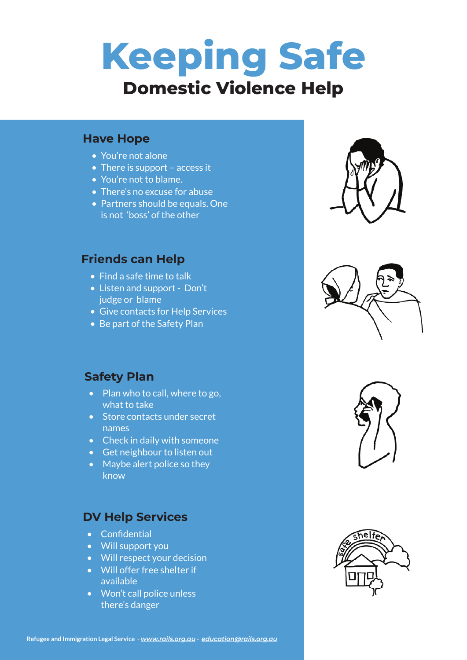# **Keeping Safe Domestic Violence Help**

#### **Have Hope**

- You're not alone
- There is support access it
- You're not to blame.
- There's no excuse for abuse
- Partners should be equals. One is not 'boss' of the other

## **Friends can Help**

- Find a safe time to talk
- Listen and support Don't judge or blame
- Give contacts for Help Services
- Be part of the Safety Plan

### **Safety Plan**

- Plan who to call, where to go, what to take
- Store contacts under secret names
- Check in daily with someone
- Get neighbour to listen out
- Maybe alert police so they know

# **DV Help Services**

- Confidential
- Will support you
- Will respect your decision
- Will offer free shelter if available
- Won't call police unless there's danger